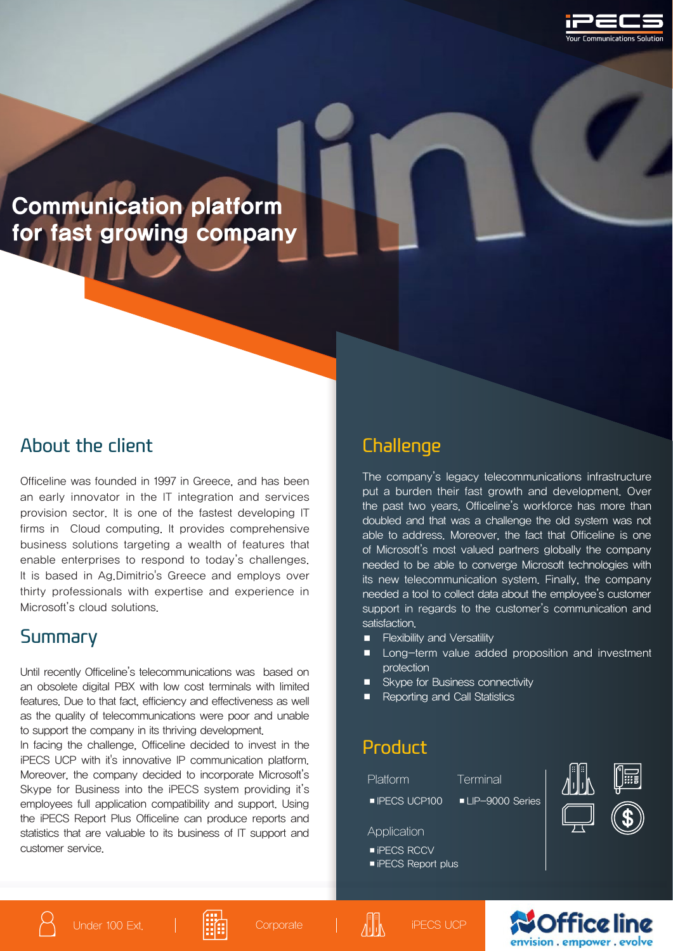

# Communication platform for fast growing company

#### About the client

Officeline was founded in 1997 in Greece, and has been an early innovator in the IT integration and services provision sector. It is one of the fastest developing IT firms in Cloud computing. It provides comprehensive business solutions targeting a wealth of features that enable enterprises to respond to today's challenges. It is based in Ag.Dimitrio's Greece and employs over thirty professionals with expertise and experience in Microsoft's cloud solutions.

#### Summary

Until recently Officeline's telecommunications was based on an obsolete digital PBX with low cost terminals with limited features. Due to that fact, efficiency and effectiveness as well as the quality of telecommunications were poor and unable to support the company in its thriving development.

In facing the challenge, Officeline decided to invest in the iPECS UCP with it's innovative IP communication platform. Moreover, the company decided to incorporate Microsoft's Skype for Business into the iPECS system providing it's employees full application compatibility and support. Using the iPECS Report Plus Officeline can produce reports and statistics that are valuable to its business of IT support and customer service.

### **Challenge**

The company's legacy telecommunications infrastructure put a burden their fast growth and development. Over the past two years, Officeline's workforce has more than doubled and that was a challenge the old system was not able to address. Moreover, the fact that Officeline is one of Microsoft's most valued partners globally the company needed to be able to converge Microsoft technologies with its new telecommunication system. Finally, the company needed a tool to collect data about the employee's customer support in regards to the customer's communication and satisfaction.

- Flexibility and Versatility
- Long-term value added proposition and investment protection
- Skype for Business connectivity
- **Reporting and Call Statistics**

### Product

Platform Terminal

■IPECS UCP100 ■ LIP-9000 Series

Application

- iPECS RCCV
- iPECS Report plus